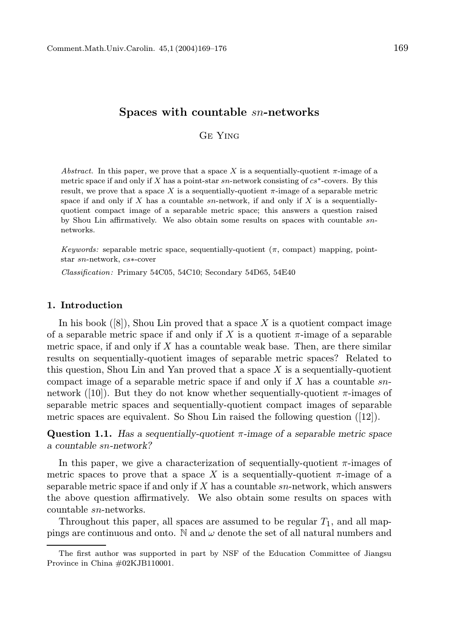## Ge Ying

Abstract. In this paper, we prove that a space X is a sequentially-quotient  $\pi$ -image of a metric space if and only if X has a point-star  $sn$ -network consisting of  $cs^*$ -covers. By this result, we prove that a space X is a sequentially-quotient  $\pi$ -image of a separable metric space if and only if  $X$  has a countable sn-network, if and only if  $X$  is a sequentiallyquotient compact image of a separable metric space; this answers a question raised by Shou Lin affirmatively. We also obtain some results on spaces with countable snnetworks.

Keywords: separable metric space, sequentially-quotient  $(\pi, \text{ compact})$  mapping, pointstar sn-network, cs∗-cover

Classification: Primary 54C05, 54C10; Secondary 54D65, 54E40

#### 1. Introduction

In his book  $([8])$ , Shou Lin proved that a space X is a quotient compact image of a separable metric space if and only if X is a quotient  $\pi$ -image of a separable metric space, if and only if  $X$  has a countable weak base. Then, are there similar results on sequentially-quotient images of separable metric spaces? Related to this question, Shou Lin and Yan proved that a space  $X$  is a sequentially-quotient compact image of a separable metric space if and only if  $X$  has a countable snnetwork ([10]). But they do not know whether sequentially-quotient  $\pi$ -images of separable metric spaces and sequentially-quotient compact images of separable metric spaces are equivalent. So Shou Lin raised the following question ([12]).

Question 1.1. Has a sequentially-quotient  $\pi$ -image of a separable metric space a countable sn-network?

In this paper, we give a characterization of sequentially-quotient  $\pi$ -images of metric spaces to prove that a space X is a sequentially-quotient  $\pi$ -image of a separable metric space if and only if  $X$  has a countable  $sn$ -network, which answers the above question affirmatively. We also obtain some results on spaces with countable sn-networks.

Throughout this paper, all spaces are assumed to be regular  $T_1$ , and all mappings are continuous and onto. N and  $\omega$  denote the set of all natural numbers and

The first author was supported in part by NSF of the Education Committee of Jiangsu Province in China #02KJB110001.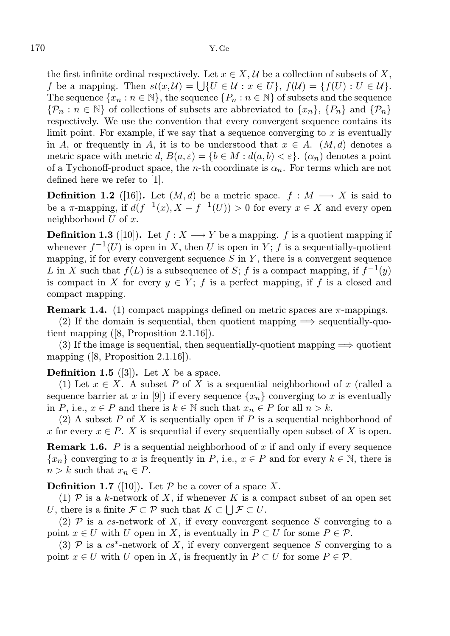the first infinite ordinal respectively. Let  $x \in X$ ,  $\mathcal{U}$  be a collection of subsets of X, f be a mapping. Then  $st(x, \mathcal{U}) = \bigcup \{U \in \mathcal{U} : x \in U\}, f(\mathcal{U}) = \{f(U) : U \in \mathcal{U}\}.$ The sequence  $\{x_n : n \in \mathbb{N}\}\)$ , the sequence  $\{P_n : n \in \mathbb{N}\}\$  of subsets and the sequence  ${\mathcal{P}_n : n \in \mathbb{N}}$  of collections of subsets are abbreviated to  ${x_n}$ ,  ${P_n}$  and  ${P_n}$ respectively. We use the convention that every convergent sequence contains its limit point. For example, if we say that a sequence converging to  $x$  is eventually in A, or frequently in A, it is to be understood that  $x \in A$ .  $(M, d)$  denotes a metric space with metric d,  $B(a, \varepsilon) = \{b \in M : d(a, b) < \varepsilon\}$ .  $(\alpha_n)$  denotes a point of a Tychonoff-product space, the n-th coordinate is  $\alpha_n$ . For terms which are not defined here we refer to [1].

**Definition 1.2** ([16]). Let  $(M, d)$  be a metric space.  $f : M \longrightarrow X$  is said to be a  $\pi$ -mapping, if  $d(f^{-1}(x), X - f^{-1}(U)) > 0$  for every  $x \in X$  and every open neighborhood  $U$  of  $x$ .

**Definition 1.3** ([10]). Let  $f : X \longrightarrow Y$  be a mapping. f is a quotient mapping if whenever  $f^{-1}(U)$  is open in X, then U is open in Y; f is a sequentially-quotient mapping, if for every convergent sequence  $S$  in  $Y$ , there is a convergent sequence L in X such that  $f(L)$  is a subsequence of S; f is a compact mapping, if  $f^{-1}(y)$ is compact in X for every  $y \in Y$ ; f is a perfect mapping, if f is a closed and compact mapping.

**Remark 1.4.** (1) compact mappings defined on metric spaces are  $\pi$ -mappings.

(2) If the domain is sequential, then quotient mapping  $\implies$  sequentially-quotient mapping ([8, Proposition 2.1.16]).

(3) If the image is sequential, then sequentially-quotient mapping  $\Longrightarrow$  quotient mapping  $([8, Proposition 2.1.16]).$ 

## **Definition 1.5** ([3]). Let X be a space.

(1) Let  $x \in X$ . A subset P of X is a sequential neighborhood of x (called a sequence barrier at x in [9]) if every sequence  $\{x_n\}$  converging to x is eventually in P, i.e.,  $x \in P$  and there is  $k \in \mathbb{N}$  such that  $x_n \in P$  for all  $n > k$ .

(2) A subset  $P$  of  $X$  is sequentially open if  $P$  is a sequential neighborhood of x for every  $x \in P$ . X is sequential if every sequentially open subset of X is open.

**Remark 1.6.** P is a sequential neighborhood of x if and only if every sequence  ${x_n}$  converging to x is frequently in P, i.e.,  $x \in P$  and for every  $k \in \mathbb{N}$ , there is  $n > k$  such that  $x_n \in P$ .

**Definition 1.7** ([10]). Let  $P$  be a cover of a space X.

(1)  $\mathcal P$  is a k-network of X, if whenever K is a compact subset of an open set U, there is a finite  $\mathcal{F} \subset \mathcal{P}$  such that  $K \subset \bigcup \mathcal{F} \subset U$ .

(2)  $\mathcal P$  is a cs-network of X, if every convergent sequence S converging to a point  $x \in U$  with U open in X, is eventually in  $P \subset U$  for some  $P \in \mathcal{P}$ .

(3)  $P$  is a  $cs^*$ -network of X, if every convergent sequence S converging to a point  $x \in U$  with U open in X, is frequently in  $P \subset U$  for some  $P \in \mathcal{P}$ .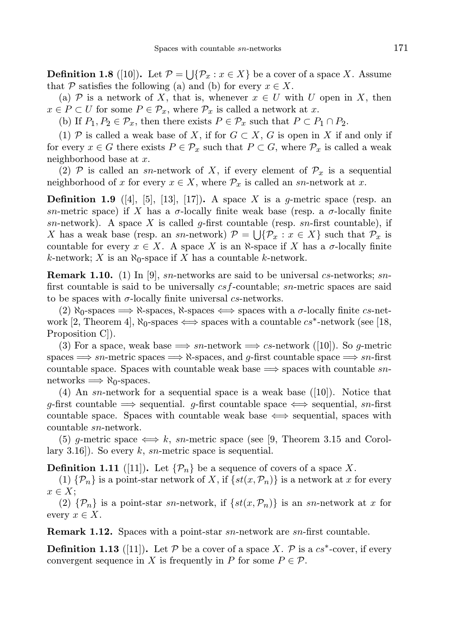**Definition 1.8** ([10]). Let  $\mathcal{P} = \bigcup \{ \mathcal{P}_x : x \in X \}$  be a cover of a space X. Assume that P satisfies the following (a) and (b) for every  $x \in X$ .

(a) P is a network of X, that is, whenever  $x \in U$  with U open in X, then  $x \in P \subset U$  for some  $P \in \mathcal{P}_x$ , where  $\mathcal{P}_x$  is called a network at x.

(b) If  $P_1, P_2 \in \mathcal{P}_x$ , then there exists  $P \in \mathcal{P}_x$  such that  $P \subset P_1 \cap P_2$ .

(1) P is called a weak base of X, if for  $G \subset X$ , G is open in X if and only if for every  $x \in G$  there exists  $P \in \mathcal{P}_x$  such that  $P \subset G$ , where  $\mathcal{P}_x$  is called a weak neighborhood base at x.

(2) P is called an sn-network of X, if every element of  $\mathcal{P}_x$  is a sequential neighborhood of x for every  $x \in X$ , where  $\mathcal{P}_x$  is called an sn-network at x.

**Definition 1.9** ([4], [5], [13], [17]). A space X is a g-metric space (resp. an sn-metric space) if X has a  $\sigma$ -locally finite weak base (resp. a  $\sigma$ -locally finite sn-network). A space X is called g-first countable (resp. sn-first countable), if X has a weak base (resp. an sn-network)  $\mathcal{P} = \bigcup \{ \mathcal{P}_x : x \in X \}$  such that  $\mathcal{P}_x$  is countable for every  $x \in X$ . A space X is an  $\aleph$ -space if X has a  $\sigma$ -locally finite k-network; X is an  $\aleph_0$ -space if X has a countable k-network.

**Remark 1.10.** (1) In [9], sn-networks are said to be universal cs-networks; snfirst countable is said to be universally  $csf$ -countable; sn-metric spaces are said to be spaces with  $\sigma$ -locally finite universal cs-networks.

(2)  $\aleph_0$ -spaces  $\Longrightarrow \aleph$ -spaces,  $\aleph$ -spaces  $\Longleftrightarrow$  spaces with a  $\sigma$ -locally finite cs-network [2, Theorem 4],  $\aleph_0$ -spaces  $\Longleftrightarrow$  spaces with a countable  $cs^*$ -network (see [18, Proposition C]).

(3) For a space, weak base  $\implies$  sn-network  $\implies$  cs-network ([10]). So g-metric spaces  $\implies$  sn-metric spaces  $\implies$   $\aleph$ -spaces, and q-first countable space  $\implies$  sn-first countable space. Spaces with countable weak base  $\implies$  spaces with countable snnetworks  $\implies \aleph_0$ -spaces.

(4) An sn-network for a sequential space is a weak base  $([10])$ . Notice that g-first countable  $\implies$  sequential. g-first countable space  $\iff$  sequential, sn-first countable space. Spaces with countable weak base  $\iff$  sequential, spaces with countable sn-network.

(5) g-metric space  $\Longleftrightarrow k$ , sn-metric space (see [9, Theorem 3.15 and Corollary 3.16]). So every k, sn-metric space is sequential.

**Definition 1.11** ([11]). Let  $\{\mathcal{P}_n\}$  be a sequence of covers of a space X.

(1)  $\{\mathcal{P}_n\}$  is a point-star network of X, if  $\{st(x, \mathcal{P}_n)\}\$ is a network at x for every  $x \in X$ ;

(2)  $\{\mathcal{P}_n\}$  is a point-star sn-network, if  $\{st(x, \mathcal{P}_n)\}\$ is an sn-network at x for every  $x \in X$ .

**Remark 1.12.** Spaces with a point-star sn-network are sn-first countable.

**Definition 1.13** ([11]). Let  $P$  be a cover of a space X.  $P$  is a  $cs^*$ -cover, if every convergent sequence in X is frequently in P for some  $P \in \mathcal{P}$ .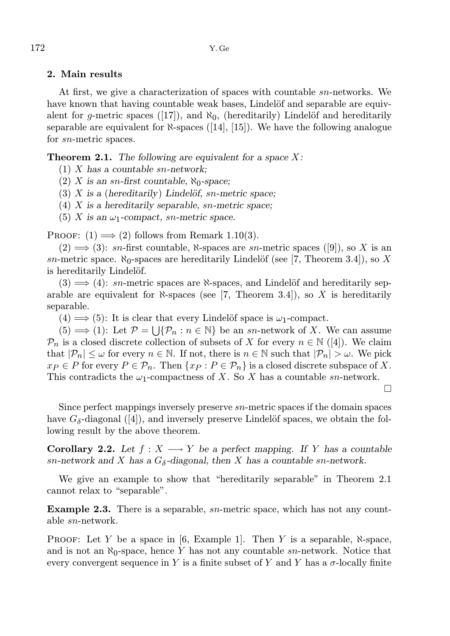# 2. Main results

At first, we give a characterization of spaces with countable sn-networks. We have known that having countable weak bases, Lindelöf and separable are equivalent for g-metric spaces ([17]), and  $\aleph_0$ , (hereditarily) Lindelöf and hereditarily separable are equivalent for  $\aleph$ -spaces ([14], [15]). We have the following analogue for sn-metric spaces.

**Theorem 2.1.** The following are equivalent for a space  $X$ :

- (1)  $X$  has a countable sn-network;
- (2) X is an sn-first countable,  $\aleph_0$ -space;
- (3) X is a (hereditarily) Lindelöf, sn-metric space;
- (4)  $X$  is a hereditarily separable, sn-metric space;
- (5) X is an  $\omega_1$ -compact, sn-metric space.

PROOF:  $(1) \implies (2)$  follows from Remark 1.10(3).

 $(2) \implies (3)$ : sn-first countable, N-spaces are sn-metric spaces ([9]), so X is an sn-metric space.  $\aleph_0$ -spaces are hereditarily Lindelöf (see [7, Theorem 3.4]), so X is hereditarily Lindelöf.

 $(3) \implies (4)$ : sn-metric spaces are  $\aleph$ -spaces, and Lindelöf and hereditarily separable are equivalent for  $\aleph$ -spaces (see [7, Theorem 3.4]), so X is hereditarily separable.

 $(4) \Longrightarrow (5)$ : It is clear that every Lindelöf space is  $\omega_1$ -compact.

 $(5) \Longrightarrow (1)$ : Let  $\mathcal{P} = \bigcup \{ \mathcal{P}_n : n \in \mathbb{N} \}$  be an sn-network of X. We can assume  $\mathcal{P}_n$  is a closed discrete collection of subsets of X for every  $n \in \mathbb{N}$  ([4]). We claim that  $|\mathcal{P}_n| \leq \omega$  for every  $n \in \mathbb{N}$ . If not, there is  $n \in \mathbb{N}$  such that  $|\mathcal{P}_n| > \omega$ . We pick  $x_P \in P$  for every  $P \in \mathcal{P}_n$ . Then  $\{x_P : P \in \mathcal{P}_n\}$  is a closed discrete subspace of X. This contradicts the  $\omega_1$ -compactness of X. So X has a countable sn-network.

Since perfect mappings inversely preserve sn-metric spaces if the domain spaces have  $G_{\delta}$ -diagonal ([4]), and inversely preserve Lindelöf spaces, we obtain the following result by the above theorem.

**Corollary 2.2.** Let  $f : X \longrightarrow Y$  be a perfect mapping. If Y has a countable sn-network and X has a  $G_{\delta}$ -diagonal, then X has a countable sn-network.

We give an example to show that "hereditarily separable" in Theorem 2.1 cannot relax to "separable".

Example 2.3. There is a separable, sn-metric space, which has not any countable sn-network.

PROOF: Let Y be a space in [6, Example 1]. Then Y is a separable,  $\aleph$ -space, and is not an  $\aleph_0$ -space, hence Y has not any countable sn-network. Notice that every convergent sequence in Y is a finite subset of Y and Y has a  $\sigma$ -locally finite

 $\Box$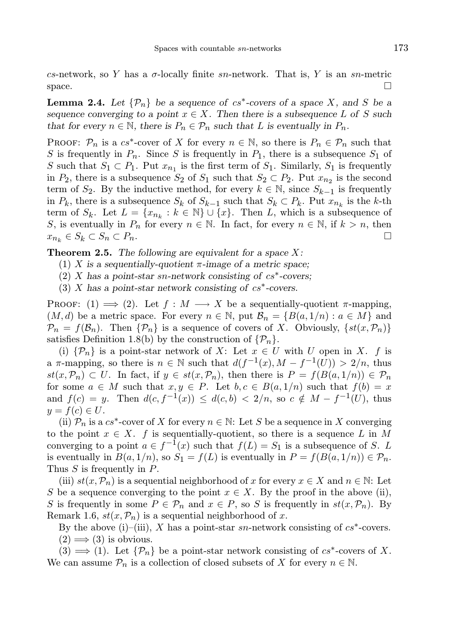cs-network, so Y has a  $\sigma$ -locally finite sn-network. That is, Y is an sn-metric space.  $\Box$ 

**Lemma 2.4.** Let  $\{\mathcal{P}_n\}$  be a sequence of  $cs^*$ -covers of a space X, and S be a sequence converging to a point  $x \in X$ . Then there is a subsequence L of S such that for every  $n \in \mathbb{N}$ , there is  $P_n \in \mathcal{P}_n$  such that L is eventually in  $P_n$ .

PROOF:  $\mathcal{P}_n$  is a  $cs^*$ -cover of X for every  $n \in \mathbb{N}$ , so there is  $P_n \in \mathcal{P}_n$  such that S is frequently in  $P_n$ . Since S is frequently in  $P_1$ , there is a subsequence  $S_1$  of S such that  $S_1 \subset P_1$ . Put  $x_{n_1}$  is the first term of  $S_1$ . Similarly,  $S_1$  is frequently in  $P_2$ , there is a subsequence  $S_2$  of  $S_1$  such that  $S_2 \subset P_2$ . Put  $x_{n_2}$  is the second term of  $S_2$ . By the inductive method, for every  $k \in \mathbb{N}$ , since  $S_{k-1}$  is frequently in  $P_k$ , there is a subsequence  $S_k$  of  $S_{k-1}$  such that  $S_k \subset P_k$ . Put  $x_{n_k}$  is the k-th term of  $S_k$ . Let  $L = \{x_{n_k} : k \in \mathbb{N}\} \cup \{x\}$ . Then L, which is a subsequence of S, is eventually in  $P_n$  for every  $n \in \mathbb{N}$ . In fact, for every  $n \in \mathbb{N}$ , if  $k > n$ , then  $x_{n_k} \in S_k \subset S_n \subset P_n.$ 

**Theorem 2.5.** The following are equivalent for a space  $X$ :

- (1) X is a sequentially-quotient  $\pi$ -image of a metric space;
- $(2)$  X has a point-star sn-network consisting of cs<sup>\*</sup>-covers;
- $(3)$  X has a point-star network consisting of cs<sup>\*</sup>-covers.

PROOF: (1)  $\implies$  (2). Let  $f : M \longrightarrow X$  be a sequentially-quotient  $\pi$ -mapping,  $(M, d)$  be a metric space. For every  $n \in \mathbb{N}$ , put  $\mathcal{B}_n = \{B(a, 1/n) : a \in M\}$  and  $\mathcal{P}_n = f(\mathcal{B}_n)$ . Then  $\{\mathcal{P}_n\}$  is a sequence of covers of X. Obviously,  $\{st(x, \mathcal{P}_n)\}$ satisfies Definition 1.8(b) by the construction of  $\{\mathcal{P}_n\}.$ 

(i)  $\{\mathcal{P}_n\}$  is a point-star network of X: Let  $x \in U$  with U open in X. f is a  $\pi$ -mapping, so there is  $n \in \mathbb{N}$  such that  $d(f^{-1}(x), M - f^{-1}(U)) > 2/n$ , thus  $st(x, \mathcal{P}_n) \subset U$ . In fact, if  $y \in st(x, \mathcal{P}_n)$ , then there is  $P = f(B(a, 1/n)) \in \mathcal{P}_n$ for some  $a \in M$  such that  $x, y \in P$ . Let  $b, c \in B(a, 1/n)$  such that  $f(b) = x$ and  $f(c) = y$ . Then  $d(c, f^{-1}(x)) \leq d(c, b) < 2/n$ , so  $c \notin M - f^{-1}(U)$ , thus  $y = f(c) \in U$ .

(ii)  $\mathcal{P}_n$  is a cs<sup>\*</sup>-cover of X for every  $n \in \mathbb{N}$ : Let S be a sequence in X converging to the point  $x \in X$ . f is sequentially-quotient, so there is a sequence L in M converging to a point  $a \in f^{-1}(x)$  such that  $f(L) = S_1$  is a subsequence of S. L is eventually in  $B(a, 1/n)$ , so  $S_1 = f(L)$  is eventually in  $P = f(B(a, 1/n)) \in \mathcal{P}_n$ . Thus S is frequently in P.

(iii)  $st(x, \mathcal{P}_n)$  is a sequential neighborhood of x for every  $x \in X$  and  $n \in \mathbb{N}$ : Let S be a sequence converging to the point  $x \in X$ . By the proof in the above (ii), S is frequently in some  $P \in \mathcal{P}_n$  and  $x \in P$ , so S is frequently in  $st(x, \mathcal{P}_n)$ . By Remark 1.6,  $st(x, \mathcal{P}_n)$  is a sequential neighborhood of x.

By the above (i)–(iii), X has a point-star sn-network consisting of  $cs^*$ -covers.  $(2) \Longrightarrow (3)$  is obvious.

 $(3) \implies (1)$ . Let  $\{\mathcal{P}_n\}$  be a point-star network consisting of  $cs^*$ -covers of X. We can assume  $\mathcal{P}_n$  is a collection of closed subsets of X for every  $n \in \mathbb{N}$ .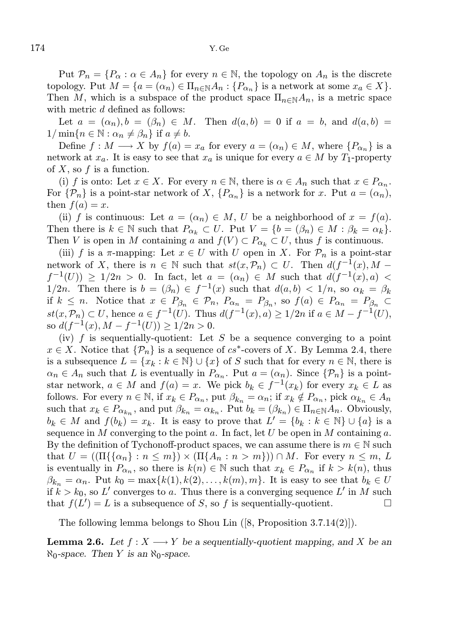Put  $\mathcal{P}_n = \{P_\alpha : \alpha \in A_n\}$  for every  $n \in \mathbb{N}$ , the topology on  $A_n$  is the discrete topology. Put  $M = \{a = (\alpha_n) \in \Pi_{n \in \mathbb{N}} A_n : \{P_{\alpha_n}\}\$ is a network at some  $x_a \in X\}$ . Then M, which is a subspace of the product space  $\Pi_{n\in\mathbb{N}}A_n$ , is a metric space with metric d defined as follows:

Let  $a = (\alpha_n), b = (\beta_n) \in M$ . Then  $d(a, b) = 0$  if  $a = b$ , and  $d(a, b) =$  $1/\min\{n \in \mathbb{N} : \alpha_n \neq \beta_n\}$  if  $a \neq b$ .

Define  $f: M \longrightarrow X$  by  $f(a) = x_a$  for every  $a = (\alpha_n) \in M$ , where  $\{P_{\alpha_n}\}\$ is a network at  $x_a$ . It is easy to see that  $x_a$  is unique for every  $a \in M$  by  $T_1$ -property of  $X$ , so  $f$  is a function.

(i) f is onto: Let  $x \in X$ . For every  $n \in \mathbb{N}$ , there is  $\alpha \in A_n$  such that  $x \in P_{\alpha_n}$ . For  $\{\mathcal{P}_n\}$  is a point-star network of X,  $\{P_{\alpha_n}\}$  is a network for x. Put  $a = (\alpha_n)$ , then  $f(a) = x$ .

(ii) f is continuous: Let  $a = (\alpha_n) \in M$ , U be a neighborhood of  $x = f(a)$ . Then there is  $k \in \mathbb{N}$  such that  $P_{\alpha_k} \subset U$ . Put  $V = \{b = (\beta_n) \in M : \beta_k = \alpha_k\}.$ Then V is open in M containing a and  $f(V) \subset P_{\alpha_k} \subset U$ , thus f is continuous.

(iii) f is a  $\pi$ -mapping: Let  $x \in U$  with U open in X. For  $\mathcal{P}_n$  is a point-star network of X, there is  $n \in \mathbb{N}$  such that  $st(x, \mathcal{P}_n) \subset U$ . Then  $d(f^{-1}(x), M$  $f^{-1}(U) \ge 1/2n > 0$ . In fact, let  $a = (\alpha_n) \in M$  such that  $d(f^{-1}(x), a) <$ 1/2n. Then there is  $b = (\beta_n) \in f^{-1}(x)$  such that  $d(a, b) < 1/n$ , so  $\alpha_k = \beta_k$ if  $k \leq n$ . Notice that  $x \in P_{\beta_n} \in \mathcal{P}_n$ ,  $P_{\alpha_n} = P_{\beta_n}$ , so  $f(a) \in P_{\alpha_n} = P_{\beta_n} \subset$  $st(x, P_n)$  ⊂ U, hence  $a \in f^{-1}(U)$ . Thus  $d(f^{-1}(x), a) \ge 1/2n$  if  $a \in M - f^{-1}(U)$ , so  $d(f^{-1}(x), M - f^{-1}(U)) \ge 1/2n > 0$ .

(iv) f is sequentially-quotient: Let S be a sequence converging to a point  $x \in X$ . Notice that  $\{\mathcal{P}_n\}$  is a sequence of  $cs^*$ -covers of X. By Lemma 2.4, there is a subsequence  $L = \{x_k : k \in \mathbb{N}\} \cup \{x\}$  of S such that for every  $n \in \mathbb{N}$ , there is  $\alpha_n \in A_n$  such that L is eventually in  $P_{\alpha_n}$ . Put  $a = (\alpha_n)$ . Since  $\{\mathcal{P}_n\}$  is a pointstar network,  $a \in M$  and  $f(a) = x$ . We pick  $b_k \in f^{-1}(x_k)$  for every  $x_k \in L$  as follows. For every  $n \in \mathbb{N}$ , if  $x_k \in P_{\alpha_n}$ , put  $\beta_{k_n} = \alpha_n$ ; if  $x_k \notin P_{\alpha_n}$ , pick  $\alpha_{k_n} \in A_n$ such that  $x_k \in P_{\alpha_{k_n}}$ , and put  $\beta_{k_n} = \alpha_{k_n}$ . Put  $b_k = (\beta_{k_n}) \in \Pi_{n \in \mathbb{N}} A_n$ . Obviously,  $b_k \in M$  and  $f(b_k) = x_k$ . It is easy to prove that  $L' = \{b_k : k \in \mathbb{N}\} \cup \{a\}$  is a sequence in M converging to the point a. In fact, let U be open in M containing a. By the definition of Tychonoff-product spaces, we can assume there is  $m \in \mathbb{N}$  such that  $U = ((\Pi\{\{\alpha_n\} : n \le m\}) \times (\Pi\{\Lambda_n : n > m\})) \cap M$ . For every  $n \le m$ , L is eventually in  $P_{\alpha_n}$ , so there is  $k(n) \in \mathbb{N}$  such that  $x_k \in P_{\alpha_n}$  if  $k > k(n)$ , thus  $\beta_{k_n} = \alpha_n$ . Put  $k_0 = \max\{k(1), k(2), \ldots, k(m), m\}$ . It is easy to see that  $b_k \in U$ if  $k > k_0$ , so L' converges to a. Thus there is a converging sequence L' in M such that  $f(L') = L$  is a subsequence of S, so f is sequentially-quotient.

The following lemma belongs to Shou Lin ([8, Proposition 3.7.14(2)]).

**Lemma 2.6.** Let  $f: X \longrightarrow Y$  be a sequentially-quotient mapping, and X be an  $\aleph_0$ -space. Then Y is an  $\aleph_0$ -space.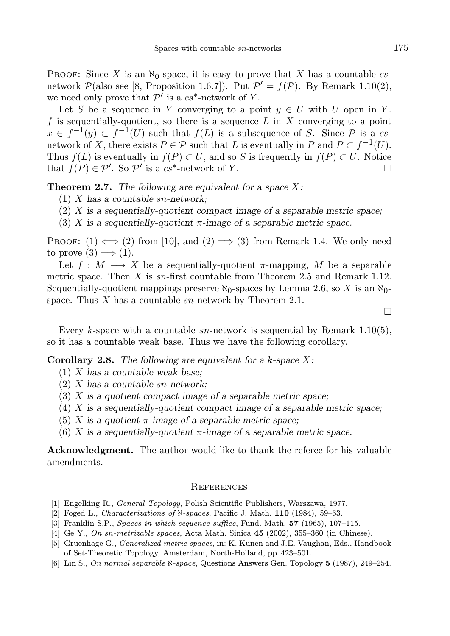PROOF: Since X is an  $\aleph_0$ -space, it is easy to prove that X has a countable csnetwork  $\mathcal{P}(\text{also see } [8, \text{ Proposition 1.6.7}]). \text{ Put } \mathcal{P}' = f(\mathcal{P}). \text{ By Remark 1.10(2)},$ we need only prove that  $\mathcal{P}'$  is a  $cs^*$ -network of Y.

Let S be a sequence in Y converging to a point  $y \in U$  with U open in Y. f is sequentially-quotient, so there is a sequence  $L$  in  $X$  converging to a point  $x \in f^{-1}(y) \subset f^{-1}(U)$  such that  $f(L)$  is a subsequence of S. Since  $\mathcal P$  is a csnetwork of X, there exists  $P \in \mathcal{P}$  such that L is eventually in P and  $P \subset f^{-1}(U)$ . Thus  $f(L)$  is eventually in  $f(P) \subset U$ , and so S is frequently in  $f(P) \subset U$ . Notice that  $f(P) \in \mathcal{P}'$ . So  $\mathcal{P}'$  is a cs<sup>\*</sup>-network of Y.

**Theorem 2.7.** The following are equivalent for a space  $X$ :

- $(1)$  X has a countable sn-network;
- $(2)$  X is a sequentially-quotient compact image of a separable metric space;
- (3) X is a sequentially-quotient  $\pi$ -image of a separable metric space.

PROOF:  $(1) \iff (2)$  from [10], and  $(2) \implies (3)$  from Remark 1.4. We only need to prove  $(3) \implies (1)$ .

Let  $f : M \longrightarrow X$  be a sequentially-quotient  $\pi$ -mapping, M be a separable metric space. Then  $X$  is sn-first countable from Theorem 2.5 and Remark 1.12. Sequentially-quotient mappings preserve  $\aleph_0$ -spaces by Lemma 2.6, so X is an  $\aleph_0$ space. Thus X has a countable  $sn$ -network by Theorem 2.1.

Every k-space with a countable  $sn$ -network is sequential by Remark 1.10(5), so it has a countable weak base. Thus we have the following corollary.

**Corollary 2.8.** The following are equivalent for a k-space  $X$ :

- $(1)$  X has a countable weak base;
- $(2)$  X has a countable sn-network;
- $(3)$  X is a quotient compact image of a separable metric space;
- $(4)$  X is a sequentially-quotient compact image of a separable metric space;
- (5) X is a quotient  $\pi$ -image of a separable metric space;
- (6) X is a sequentially-quotient  $\pi$ -image of a separable metric space.

Acknowledgment. The author would like to thank the referee for his valuable amendments.

#### **REFERENCES**

- [1] Engelking R., General Topology, Polish Scientific Publishers, Warszawa, 1977.
- [2] Foged L., *Characterizations of*  $\aleph$ -spaces, Pacific J. Math. **110** (1984), 59–63.
- [3] Franklin S.P., Spaces in which sequence suffice, Fund. Math. 57 (1965), 107–115.
- [4] Ge Y., On sn-metrizable spaces, Acta Math. Sinica **45** (2002), 355–360 (in Chinese).
- [5] Gruenhage G., Generalized metric spaces, in: K. Kunen and J.E. Vaughan, Eds., Handbook of Set-Theoretic Topology, Amsterdam, North-Holland, pp. 423–501.
- [6] Lin S., On normal separable N-space, Questions Answers Gen. Topology 5 (1987), 249-254.

П